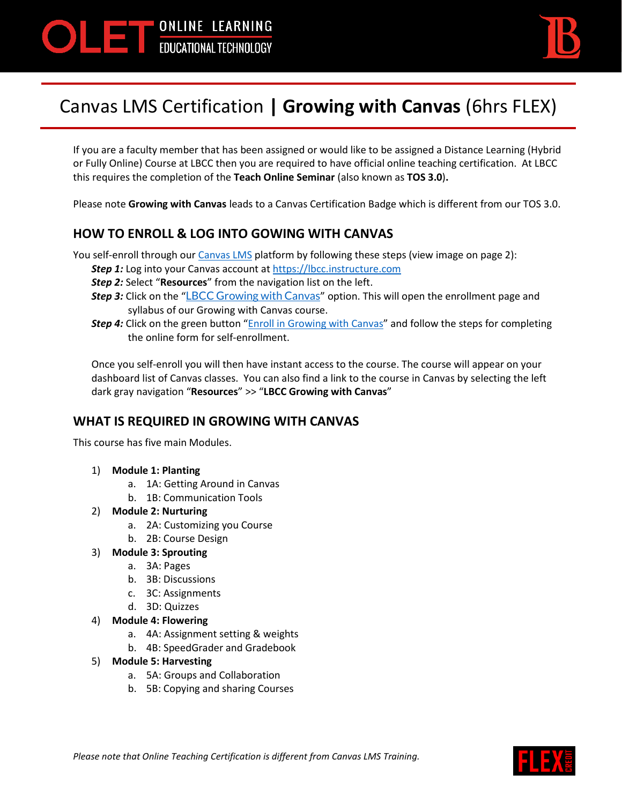



# Canvas LMS Certification **| Growing with Canvas** (6hrs FLEX)

If you are a faculty member that has been assigned or would like to be assigned a Distance Learning (Hybrid or Fully Online) Course at LBCC then you are required to have official online teaching certification. At LBCC this requires the completion of the **Teach Online Seminar** (also known as **TOS 3.0**)**.**

Please note **Growing with Canvas** leads to a Canvas Certification Badge which is different from our TOS 3.0.

## **HOW TO ENROLL & LOG INTO GOWING WITH CANVAS**

You self-enroll through our [Canvas LMS](https://lbcc.instructure.com/) platform by following these steps (view image on page 2):

- **Step 1:** Log into your Canvas account a[t https://lbcc.instructure.com](https://lbcc.instructure.com/)
- *Step 2:* Select "**Resources**" from the navigation list on the left.
- **Step 3:** Click on the "[LBCC Growing with Canvas](https://lbcc.instructure.com/courses/37840/assignments/syllabus)" option. This will open the enrollment page and syllabus of our Growing with Canvas course.
- **Step 4:** Click on the green button "**[Enroll in Growing with Canvas](https://lbcc.instructure.com/enroll/9NTMRD)**" and follow the steps for completing the online form for self-enrollment.

Once you self-enroll you will then have instant access to the course. The course will appear on your dashboard list of Canvas classes. You can also find a link to the course in Canvas by selecting the left dark gray navigation "**Resources**" >> "**LBCC Growing with Canvas**"

### **WHAT IS REQUIRED IN GROWING WITH CANVAS**

This course has five main Modules.

- 1) **Module 1: Planting**
	- a. 1A: Getting Around in Canvas
	- b. 1B: Communication Tools

#### 2) **Module 2: Nurturing**

- a. 2A: Customizing you Course
- b. 2B: Course Design
- 3) **Module 3: Sprouting**
	- a. 3A: Pages
	- b. 3B: Discussions
	- c. 3C: Assignments
	- d. 3D: Quizzes
- 4) **Module 4: Flowering**
	- a. 4A: Assignment setting & weights
	- b. 4B: SpeedGrader and Gradebook
- 5) **Module 5: Harvesting**
	- a. 5A: Groups and Collaboration
	- b. 5B: Copying and sharing Courses